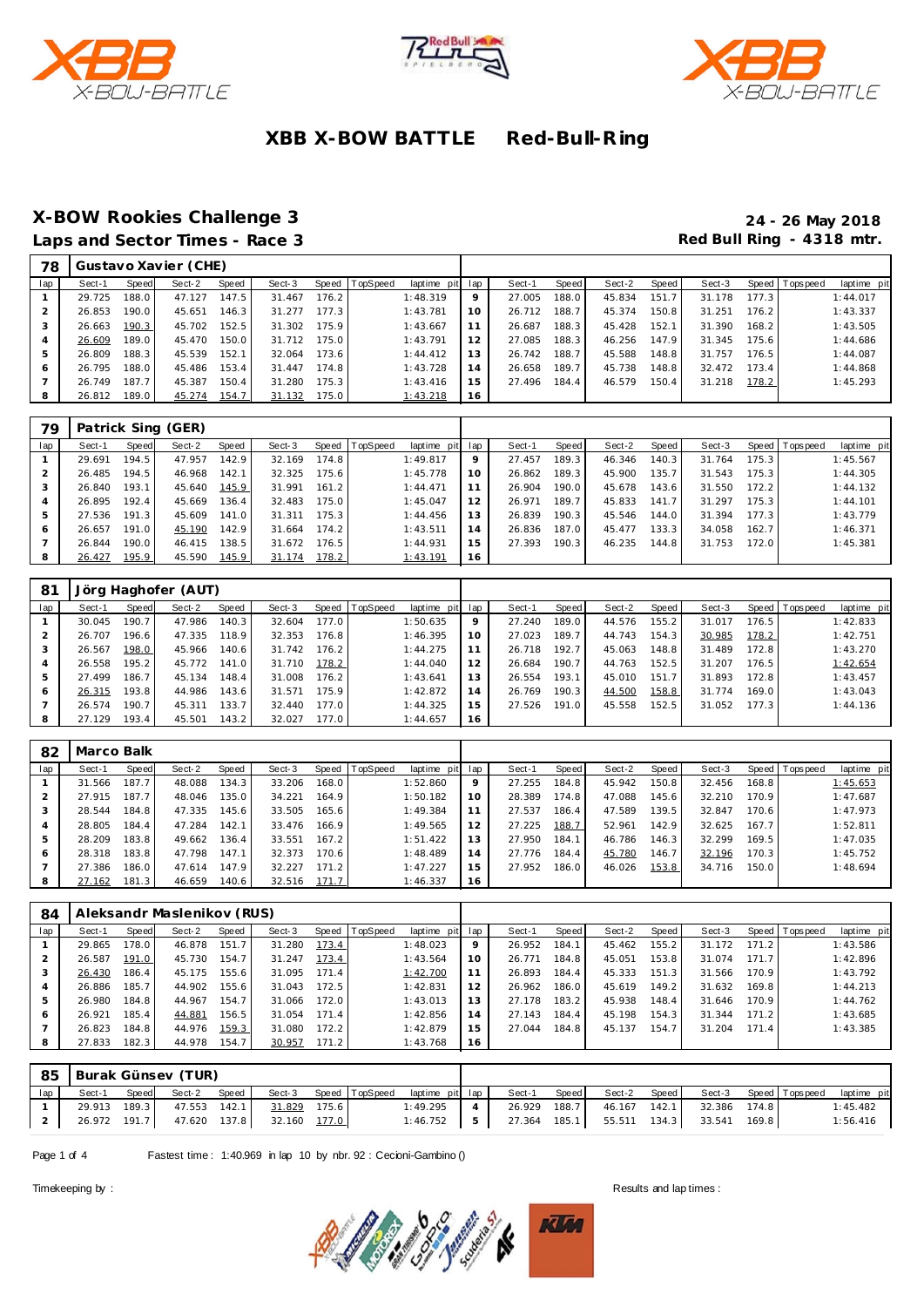





## **X-BOW Rookies Challenge 3 24 - 26 May 2018**

Red Bull Ring - 4318 mtr.

| 78  |        |       | Gustavo Xavier (CHE) |       |        |       |          |                 |    |        |       |        |       |        |       |                 |             |
|-----|--------|-------|----------------------|-------|--------|-------|----------|-----------------|----|--------|-------|--------|-------|--------|-------|-----------------|-------------|
| lap | Sect-1 | Speed | Sect-2               | Speed | Sect-3 | Speed | TopSpeed | laptime pit lap |    | Sect-1 | Speed | Sect-2 | Speed | Sect-3 |       | Speed Tops peed | laptime pit |
|     | 29.725 | 188.0 | 47.127               | 147.5 | 31.467 | 176.2 |          | 1:48.319        | 9  | 27.005 | 188.0 | 45.834 | 151.7 | 31.178 | 177.3 |                 | 1:44.017    |
|     | 26.853 | 190.0 | 45.651               | 146.3 | 31.277 | 177.3 |          | 1:43.781        | 10 | 26.712 | 188.7 | 45.374 | 150.8 | 31.251 | 176.2 |                 | 1:43.337    |
|     | 26.663 | 190.3 | 45.702               | 152.5 | 31.302 | 175.9 |          | 1:43.667        |    | 26.687 | 188.3 | 45.428 | 152.1 | 31.390 | 168.2 |                 | 1:43.505    |
| 4   | 26.609 | 189.0 | 45.470               | 150.0 | 31.712 | 175.0 |          | 1:43.791        | 12 | 27.085 | 188.3 | 46.256 | 147.9 | 31.345 | 175.6 |                 | 1:44.686    |
| 5   | 26.809 | 188.3 | 45.539               | 152.1 | 32.064 | 173.6 |          | 1:44.412        | 13 | 26.742 | 188.7 | 45.588 | 148.8 | 31.757 | 176.5 |                 | 1:44.087    |
| 6   | 26.795 | 188.0 | 45.486               | 153.4 | 31.447 | 174.8 |          | 1:43.728        | 14 | 26.658 | 189.7 | 45.738 | 148.8 | 32.472 | 173.4 |                 | 1:44.868    |
|     | 26.749 | 187.7 | 45.387               | 150.4 | 31.280 | 175.3 |          | 1:43.416        | 15 | 27.496 | 184.4 | 46.579 | 150.4 | 31.218 | 178.2 |                 | 1:45.293    |
|     | 26.812 | 189.0 | 45.274               | 154.7 | 31.132 | 175.0 |          | 1:43.218        | 16 |        |       |        |       |        |       |                 |             |
|     |        |       |                      |       |        |       |          |                 |    |        |       |        |       |        |       |                 |             |

| 79  |        |       | Patrick Sing (GER) |       |        |       |                |             |     |        |                    |        |       |        |       |                 |             |
|-----|--------|-------|--------------------|-------|--------|-------|----------------|-------------|-----|--------|--------------------|--------|-------|--------|-------|-----------------|-------------|
| lap | Sect-1 | Speed | Sect-2             | Speed | Sect-3 |       | Speed TopSpeed | laptime pit | lap | Sect-1 | Speed              | Sect-2 | Speed | Sect-3 |       | Speed Tops peed | laptime pit |
|     | 29.691 | 194.5 | 47.957             | 142.9 | 32.169 | 174.8 |                | 1:49.817    | 9   | 27.457 | 189.3 <sub>1</sub> | 46.346 | 140.3 | 31.764 | 175.3 |                 | 1:45.567    |
|     | 26.485 | 194.5 | 46.968             | 142.1 | 32.325 | 175.6 |                | 1:45.778    | 10  | 26.862 | 189.3              | 45.900 | 135.7 | 31.543 | 175.3 |                 | 1:44.305    |
| 3   | 26.840 | 193.1 | 45.640             | 145.9 | 31.991 | 161.2 |                | 1:44.471    | 11  | 26.904 | 190.0              | 45.678 | 143.6 | 31.550 | 172.2 |                 | 1:44.132    |
| 4   | 26.895 | 192.4 | 45.669             | 136.4 | 32.483 | 175.0 |                | 1:45.047    | 12  | 26.971 | 189.7 <sub>1</sub> | 45.833 | 141.7 | 31.297 | 175.3 |                 | 1:44.101    |
| 5   | 27.536 | 191.3 | 45.609             | 141.0 | 31.311 | 175.3 |                | 1:44.456    | 13  | 26.839 | 190.3              | 45.546 | 144.0 | 31.394 | 177.3 |                 | 1:43.779    |
| 6   | 26.657 | 191.0 | 45.190             | 142.9 | 31.664 | 174.2 |                | 1:43.511    | 14  | 26.836 | 187.0              | 45.477 | 133.3 | 34.058 | 162.7 |                 | 1:46.371    |
|     | 26.844 | 190.0 | 46.415             | 138.5 | 31.672 | 176.5 |                | 1:44.931    | 15  | 27.393 | 190.3              | 46.235 | 144.8 | 31.753 | 172.0 |                 | 1:45.381    |
| 8   | 26.427 | 195.9 | 45.590             | 145.9 | 31.174 | 178.2 |                | 1:43.191    | 16  |        |                    |        |       |        |       |                 |             |

| 81  |        |       | Jörg Haghofer (AUT) |       |        |       |                  |             |                 |        |       |        |       |        |       |                 |             |
|-----|--------|-------|---------------------|-------|--------|-------|------------------|-------------|-----------------|--------|-------|--------|-------|--------|-------|-----------------|-------------|
| lap | Sect-1 | Speed | Sect-2              | Speed | Sect-3 |       | Speed   TopSpeed | laptime pit | lap             | Sect-1 | Speed | Sect-2 | Speed | Sect-3 |       | Speed Tops peed | laptime pit |
|     | 30.045 | 190.7 | 47.986              | 140.3 | 32.604 | 177.0 |                  | 1:50.635    | 9               | 27.240 | 189.0 | 44.576 | 155.2 | 31.017 | 176.5 |                 | 1:42.833    |
|     | 26.707 | 196.6 | 47.335              | 118.9 | 32.353 | 176.8 |                  | 1:46.395    | 10 <sup>°</sup> | 27.023 | 189.7 | 44.743 | 154.3 | 30.985 | 178.2 |                 | 1:42.751    |
| 3   | 26.567 | 198.0 | 45.966              | 140.6 | 31.742 | 176.2 |                  | 1:44.275    | 11              | 26.718 | 192.7 | 45.063 | 148.8 | 31.489 | 172.8 |                 | 1:43.270    |
| 4   | 26.558 | 195.2 | 45.772              | 141.0 | 31.710 | 178.2 |                  | 1:44.040    | 12              | 26.684 | 190.7 | 44.763 | 152.5 | 31.207 | 176.5 |                 | 1:42.654    |
| 5   | 27.499 | 186.7 | 45.134              | 148.4 | 31.008 | 176.2 |                  | 1:43.641    | 13              | 26.554 | 193.1 | 45.010 | 151.7 | 31.893 | 172.8 |                 | 1:43.457    |
| 6   | 26.315 | 193.8 | 44.986              | 143.6 | 31.571 | 175.9 |                  | 1:42.872    | 14              | 26.769 | 190.3 | 44.500 | 158.8 | 31.774 | 169.0 |                 | 1:43.043    |
|     | 26.574 | 190.7 | 45.311              | 133.7 | 32.440 | 177.0 |                  | 1:44.325    | 15              | 27.526 | 191.0 | 45.558 | 152.5 | 31.052 | 177.3 |                 | 1:44.136    |
| 8   | 27.129 | 193.4 | 45.501              | 143.2 | 32.027 | 177.0 |                  | 1:44.657    | 16              |        |       |        |       |        |       |                 |             |

| 82  | Marco Balk |       |        |       |        |                    |                  |             |     |        |                    |        |       |        |       |                 |             |
|-----|------------|-------|--------|-------|--------|--------------------|------------------|-------------|-----|--------|--------------------|--------|-------|--------|-------|-----------------|-------------|
| lap | Sect-1     | Speed | Sect-2 | Speed | Sect-3 |                    | Speed   TopSpeed | laptime pit | lap | Sect-1 | Speed              | Sect-2 | Speed | Sect-3 |       | Speed Tops peed | laptime pit |
|     | 31.566     | 187.7 | 48.088 | 134.3 | 33.206 | 168.0              |                  | 1:52.860    | 9   | 27.255 | 184.8              | 45.942 | 150.8 | 32.456 | 168.8 |                 | 1:45.653    |
|     | 27.915     | 187.7 | 48.046 | 135.0 | 34.221 | 164.9              |                  | 1:50.182    | 10  | 28.389 | 174.8 <sub>1</sub> | 47.088 | 145.6 | 32.210 | 170.9 |                 | 1:47.687    |
| 3   | 28.544     | 184.8 | 47.335 | 145.6 | 33.505 | 165.6              |                  | 1:49.384    |     | 27.537 | 186.4              | 47.589 | 139.5 | 32.847 | 170.6 |                 | 1:47.973    |
| 4   | 28.805     | 184.4 | 47.284 | 142.1 | 33.476 | 166.9              |                  | 1:49.565    | 12  | 27.225 | 188.7              | 52.961 | 142.9 | 32.625 | 167.7 |                 | 1:52.811    |
| 5   | 28.209     | 183.8 | 49.662 | 136.4 | 33.551 | 167.2              |                  | 1:51.422    | 13  | 27.950 | 184.1              | 46.786 | 146.3 | 32.299 | 169.5 |                 | 1:47.035    |
| 6   | 28.318     | 183.8 | 47.798 | 147.1 | 32.373 | 170.6 <sub>1</sub> |                  | 1:48.489    | 14  | 27.776 | 184.4              | 45.780 | 146.7 | 32.196 | 170.3 |                 | 1:45.752    |
|     | 27.386     | 186.0 | 47.614 | 147.9 | 32.227 | 171.2              |                  | 1:47.227    | 15  | 27.952 | 186.0              | 46.026 | 153.8 | 34.716 | 150.0 |                 | 1:48.694    |
| 8   | 27.162     | 181.3 | 46.659 | 140.6 | 32.516 | 171.7              |                  | 1:46.337    | 16  |        |                    |        |       |        |       |                 |             |

| 84             |        |       | Aleksandr Maslenikov (RUS) |       |        |       |                  |                 |    |        |       |        |        |        |       |                 |             |
|----------------|--------|-------|----------------------------|-------|--------|-------|------------------|-----------------|----|--------|-------|--------|--------|--------|-------|-----------------|-------------|
| lap            | Sect-1 | Speed | Sect-2                     | Speed | Sect-3 |       | Speed   TopSpeed | laptime pit lap |    | Sect-1 | Speed | Sect-2 | Speed  | Sect-3 |       | Speed Tops peed | laptime pit |
|                | 29.865 | 178.0 | 46.878                     | 151.7 | 31.280 | 173.4 |                  | 1:48.023        | 9  | 26.952 | 184.1 | 45.462 | 155.2  | 31.172 | 171.2 |                 | 1:43.586    |
|                | 26.587 | 191.0 | 45.730                     | 154.7 | 31.247 | 173.4 |                  | 1:43.564        | 10 | 26.771 | 184.8 | 45.051 | 153.8  | 31.074 | 171.7 |                 | 1:42.896    |
| 3              | 26.430 | 186.4 | 45.175                     | 155.6 | 31.095 | 171.4 |                  | 1:42.700        |    | 26.893 | 184.4 | 45.333 | 151.3  | 31.566 | 170.9 |                 | 1:43.792    |
| $\overline{4}$ | 26.886 | 185.7 | 44.902                     | 155.6 | 31.043 | 172.5 |                  | 1:42.831        | 12 | 26.962 | 186.0 | 45.619 | 149.21 | 31.632 | 169.8 |                 | 1:44.213    |
| 5              | 26.980 | 184.8 | 44.967                     | 154.7 | 31.066 | 172.0 |                  | 1:43.013        | 13 | 27.178 | 183.2 | 45.938 | 148.4  | 31.646 | 170.9 |                 | 1:44.762    |
| 6              | 26.921 | 185.4 | 44.881                     | 156.5 | 31.054 | 171.4 |                  | 1:42.856        | 14 | 27.143 | 184.4 | 45.198 | 154.3  | 31.344 | 171.2 |                 | 1:43.685    |
|                | 26.823 | 184.8 | 44.976                     | 159.3 | 31.080 | 172.2 |                  | 1:42.879        | 15 | 27.044 | 184.8 | 45.137 | 154.7  | 31.204 | 171.4 |                 | 1:43.385    |
| 8              | 27.833 | 182.3 | 44.978                     | 154.7 | 30.957 | 171.2 |                  | 1:43.768        | 16 |        |       |        |        |        |       |                 |             |

|     |              | 85 Burak Günsev (TUR) |       |                     |       |                                       |                |              |       |                                  |                                    |       |             |
|-----|--------------|-----------------------|-------|---------------------|-------|---------------------------------------|----------------|--------------|-------|----------------------------------|------------------------------------|-------|-------------|
| lap | Sect-1       | Speed Sect-2          | Speed |                     |       | Sect-3 Speed TopSpeed laptime pit lap |                | Sect-1       | Speed |                                  | Sect-2 Speed Sect-3 Speed Topspeed |       | laptime pit |
|     | 29.913 189.3 | 47.553 142.1          |       | 31.829              | 175.6 | 1:49.295                              | $\sim$ 4       | 26.929 188.7 |       |                                  | 46.167  142.1  32.386  174.8       |       | 1:45.482    |
|     | 26.972 191.7 |                       |       | 47.620 137.8 32.160 | 177.0 | 1:46.752                              | 5 <sub>1</sub> |              |       | 27.364 185.1 55.511 134.3 33.541 |                                    | 169.8 | 1:56.416    |

Page 1 of 4 Fastest time: 1:40.969 in lap 10 by nbr. 92 : Cecioni-Gambino ()

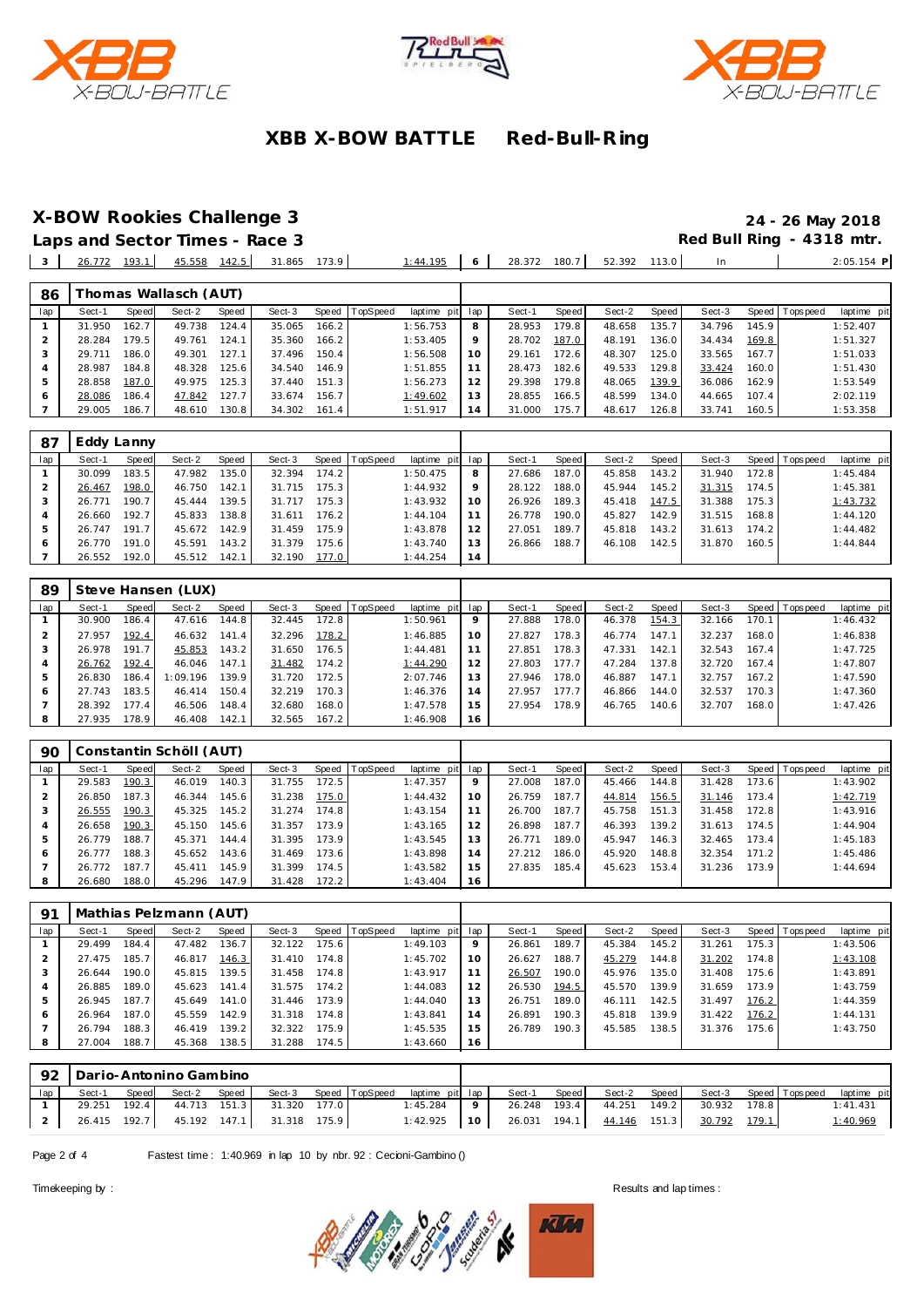





#### **X-BOW Rookies Challenge 3 24 - 26 May 2018**

 $\bar{a}$ 

**Laps and Sector Times - Race 3 Red Bull Ring - 4318 mtr.**  $\mathbf{r}$ 

|     | ----<br>103<br>7J. | 142.5<br>45.558<br>$\overline{\phantom{0}}$<br>$- -$ | 31.865<br>172 O<br>. | <b>105</b> | 28. | 180. | 52.392 | 113.0 |  |
|-----|--------------------|------------------------------------------------------|----------------------|------------|-----|------|--------|-------|--|
|     |                    |                                                      |                      |            |     |      |        |       |  |
| 86. | homas Wallasch     | (AUT                                                 |                      |            |     |      |        |       |  |

| oυ  |        |       | <b>TIOTITGS VVGHGSCH (AOT)</b> |       |        |       |          |                 |                |        |         |        |       |        |       |                |             |
|-----|--------|-------|--------------------------------|-------|--------|-------|----------|-----------------|----------------|--------|---------|--------|-------|--------|-------|----------------|-------------|
| lap | Sect-1 | Speed | Sect-2                         | Speed | Sect-3 | Speed | TopSpeed | laptime pit lap |                | Sect-1 | Speed I | Sect-2 | Speed | Sect-3 |       | Speed Topspeed | laptime pit |
|     | 31.950 | 162.7 | 49.738                         | 124.4 | 35.065 | 166.2 |          | 1:56.753        | 8              | 28.953 | 179.8   | 48.658 | 135.7 | 34.796 | 145.9 |                | 1:52.407    |
|     | 28.284 | 179.5 | 49.761                         | 124.1 | 35.360 | 166.2 |          | 1:53.405        |                | 28.702 | 187.0   | 48.191 | 136.0 | 34.434 | 169.8 |                | 1:51.327    |
|     | 29.711 | 186.0 | 49.301                         | 127.1 | 37.496 | 150.4 |          | 1:56.508        | 10             | 29.161 | 172.6   | 48.307 | 125.0 | 33.565 | 167.7 |                | 1:51.033    |
|     | 28.987 | 184.8 | 48.328                         | 125.6 | 34.540 | 146.9 |          | 1:51.855        |                | 28.473 | 182.6   | 49.533 | 129.8 | 33.424 | 160.0 |                | 1:51.430    |
|     | 28.858 | 187.0 | 49.975                         | 125.3 | 37.440 | 151.3 |          | 1:56.273        |                | 29.398 | 179.8   | 48.065 | 139.9 | 36.086 | 162.9 |                | 1:53.549    |
|     | 28.086 | 186.4 | 47.842                         | 127.7 | 33.674 | 156.7 |          | 1:49.602        | 13             | 28.855 | 166.5   | 48.599 | 134.0 | 44.665 | 107.4 |                | 2:02.119    |
|     | 29.005 | 186.7 | 48.610                         | 130.8 | 34.302 | 161.4 |          | 1:51.917        | $\overline{A}$ | 31.000 | 175.7   | 48.617 | 126.8 | 33.741 | 160.5 |                | 1:53.358    |

| -87 | Eddy Lanny |       |        |       |        |       |                |             |                 |        |       |        |        |        |       |                |             |
|-----|------------|-------|--------|-------|--------|-------|----------------|-------------|-----------------|--------|-------|--------|--------|--------|-------|----------------|-------------|
| lap | Sect-1     | Speed | Sect-2 | Speed | Sect-3 |       | Speed TopSpeed | laptime pit | lap             | Sect-1 | Speed | Sect-2 | Speed  | Sect-3 |       | Speed Topspeed | laptime pit |
|     | 30.099     | 183.5 | 47.982 | 135.0 | 32.394 | 174.2 |                | 1:50.475    | 8               | 27.686 | 187.0 | 45.858 | 143.2  | 31.940 | 172.8 |                | 1:45.484    |
|     | 26.467     | 198.0 | 46.750 | 142.1 | 31.715 | 175.3 |                | 1:44.932    | 9               | 28.122 | 188.0 | 45.944 | 145.21 | 31.315 | 174.5 |                | 1:45.381    |
|     | 26.771     | 190.7 | 45.444 | 139.5 | 31.717 | 175.3 |                | 1:43.932    | 10 <sup>°</sup> | 26.926 | 189.3 | 45.418 | 147.5  | 31.388 | 175.3 |                | 1:43.732    |
|     | 26.660     | 192.7 | 45.833 | 138.8 | 31.611 | 176.2 |                | 1:44.104    |                 | 26.778 | 190.0 | 45.827 | 142.9  | 31.515 | 168.8 |                | 1:44.120    |
| 5   | 26.747     | 191.7 | 45.672 | 142.9 | 31.459 | 175.9 |                | 1:43.878    | 12              | 27.051 | 189.7 | 45.818 | 143.2  | 31.613 | 174.2 |                | 1:44.482    |
| 6   | 26.770     | 191.0 | 45.591 | 143.2 | 31.379 | 175.6 |                | 1:43.740    | 13              | 26.866 | 188.7 | 46.108 | 142.5  | 31.870 | 160.5 |                | 1:44.844    |
|     | 26.552     | 192.0 | 45.512 | 142.1 | 32.190 | 177.0 |                | 1:44.254    | 14              |        |       |        |        |        |       |                |             |

| 89             |        |       | Steve Hansen (LUX) |       |        |       |                |             |     |        |         |        |       |        |       |                |             |
|----------------|--------|-------|--------------------|-------|--------|-------|----------------|-------------|-----|--------|---------|--------|-------|--------|-------|----------------|-------------|
| lap            | Sect-1 | Speed | Sect-2             | Speed | Sect-3 |       | Speed TopSpeed | laptime pit | lap | Sect-1 | Speed   | Sect-2 | Speed | Sect-3 |       | Speed Topspeed | laptime pit |
|                | 30.900 | 186.4 | 47.616             | 144.8 | 32.445 | 172.8 |                | 1:50.961    | 9   | 27.888 | 178.0   | 46.378 | 154.3 | 32.166 | 170.1 |                | 1:46.432    |
|                | 27.957 | 192.4 | 46.632             | 141.4 | 32.296 | 178.2 |                | 1:46.885    | 10  | 27.827 | 178.3 I | 46.774 | 147.1 | 32.237 | 168.0 |                | 1:46.838    |
|                | 26.978 | 191.7 | 45.853             | 143.2 | 31.650 | 176.5 |                | 1:44.481    | 11  | 27.851 | 178.3   | 47.331 | 142.1 | 32.543 | 167.4 |                | 1:47.725    |
| $\overline{4}$ | 26.762 | 192.4 | 46.046             | 147.1 | 31.482 | 174.2 |                | 1:44.290    | 12  | 27.803 | 177.7   | 47.284 | 137.8 | 32.720 | 167.4 |                | 1:47.807    |
| 5              | 26.830 | 186.4 | l: 09.196          | 139.9 | 31.720 | 172.5 |                | 2:07.746    | 13  | 27.946 | 178.0   | 46.887 | 147.1 | 32.757 | 167.2 |                | 1:47.590    |
| 6              | 27.743 | 183.5 | 46.414             | 150.4 | 32.219 | 170.3 |                | 1:46.376    | 14  | 27.957 | 177.7   | 46.866 | 144.0 | 32.537 | 170.3 |                | 1:47.360    |
|                | 28.392 | 177.4 | 46.506             | 148.4 | 32.680 | 168.0 |                | 1:47.578    | 15  | 27.954 | 178.9   | 46.765 | 140.6 | 32.707 | 168.0 |                | 1:47.426    |
| 8              | 27.935 | 178.9 | 46.408             | 142.1 | 32.565 | 167.2 |                | 1:46.908    | 16  |        |         |        |       |        |       |                |             |

| 90  |        |       | Constantin Schöll (AUT) |       |        |       |                |                 |    |        |       |        |        |        |       |                |             |
|-----|--------|-------|-------------------------|-------|--------|-------|----------------|-----------------|----|--------|-------|--------|--------|--------|-------|----------------|-------------|
| lap | Sect-1 | Speed | Sect-2                  | Speed | Sect-3 |       | Speed TopSpeed | laptime pit lap |    | Sect-1 | Speed | Sect-2 | Speed  | Sect-3 |       | Speed Topspeed | laptime pit |
|     | 29.583 | 190.3 | 46.019                  | 140.3 | 31.755 | 172.5 |                | 1:47.357        | 9  | 27.008 | 187.0 | 45.466 | 144.8  | 31.428 | 173.6 |                | 1:43.902    |
|     | 26.850 | 187.3 | 46.344                  | 145.6 | 31.238 | 175.0 |                | 1:44.432        | 10 | 26.759 | 187.7 | 44.814 | 156.5  | 31.146 | 173.4 |                | 1:42.719    |
| 3   | 26.555 | 190.3 | 45.325                  | 145.2 | 31.274 | 174.8 |                | 1:43.154        | 11 | 26.700 | 187.7 | 45.758 | 151.3  | 31.458 | 172.8 |                | 1:43.916    |
| 4   | 26.658 | 190.3 | 45.150                  | 145.6 | 31.357 | 173.9 |                | 1:43.165        | 12 | 26.898 | 187.7 | 46.393 | 139.21 | 31.613 | 174.5 |                | 1:44.904    |
| 5   | 26.779 | 188.7 | 45.371                  | 144.4 | 31.395 | 173.9 |                | 1:43.545        | 13 | 26.771 | 189.0 | 45.947 | 146.3  | 32.465 | 173.4 |                | 1:45.183    |
| 6   | 26.777 | 188.3 | 45.652                  | 143.6 | 31.469 | 173.6 |                | 1:43.898        | 14 | 27.212 | 186.0 | 45.920 | 148.8  | 32.354 | 171.2 |                | 1:45.486    |
|     | 26.772 | 187.7 | 45.411                  | 145.9 | 31.399 | 174.5 |                | 1:43.582        | 15 | 27.835 | 185.4 | 45.623 | 153.4  | 31.236 | 173.9 |                | 1:44.694    |
| 8   | 26.680 | 188.0 | 45.296                  | 147.9 | 31.428 | 172.2 |                | 1:43.404        | 16 |        |       |        |        |        |       |                |             |

| -91 | Mathias Pelzmann (AUT) |       |        |       |        |                    |          |                 |         |        |       |        |       |        |       |                 |             |
|-----|------------------------|-------|--------|-------|--------|--------------------|----------|-----------------|---------|--------|-------|--------|-------|--------|-------|-----------------|-------------|
| lap | Sect-1                 | Speed | Sect-2 | Speed | Sect-3 | Speed              | TopSpeed | laptime pit lap |         | Sect-1 | Speed | Sect-2 | Speed | Sect-3 |       | Speed Tops peed | laptime pit |
|     | 29.499                 | 184.4 | 47.482 | 136.7 | 32.122 | 175.6              |          | 1:49.103        | $\circ$ | 26.861 | 189.7 | 45.384 | 145.2 | 31.261 | 175.3 |                 | 1:43.506    |
|     | 27.475                 | 185.7 | 46.817 | 146.3 | 31.410 | 174.8 <sub>1</sub> |          | 1:45.702        | 10      | 26.627 | 188.7 | 45.279 | 144.8 | 31.202 | 174.8 |                 | 1:43.108    |
|     | 26.644                 | 190.0 | 45.815 | 139.5 | 31.458 | 174.8              |          | 1:43.917        |         | 26.507 | 190.0 | 45.976 | 135.0 | 31.408 | 175.6 |                 | 1:43.891    |
| 4   | 26.885                 | 189.0 | 45.623 | 141.4 | 31.575 | 174.2              |          | 1:44.083        | 12      | 26.530 | 194.5 | 45.570 | 139.9 | 31.659 | 173.9 |                 | 1:43.759    |
| 5   | 26.945                 | 187.7 | 45.649 | 141.0 | 31.446 | 173.9              |          | 1:44.040        | 13      | 26.751 | 189.0 | 46.111 | 142.5 | 31.497 | 176.2 |                 | 1:44.359    |
| 6   | 26.964                 | 187.0 | 45.559 | 142.9 | 31.318 | 174.8              |          | 1:43.841        | 14      | 26.891 | 190.3 | 45.818 | 139.9 | 31.422 | 176.2 |                 | 1:44.131    |
|     | 26.794                 | 188.3 | 46.419 | 139.2 | 32.322 | 175.9              |          | 1:45.535        | 15      | 26.789 | 190.3 | 45.585 | 138.5 | 31.376 | 175.6 |                 | 1:43.750    |
| 8   | 27.004                 | 188.7 | 45.368 | 138.5 | 31.288 | 174.5              |          | 1:43.660        | 16      |        |       |        |       |        |       |                 |             |

|     | 92   Dario-Antonino Gambino |       |              |       |                           |       |                |                 |             |              |       |                           |       |        |       |                       |             |
|-----|-----------------------------|-------|--------------|-------|---------------------------|-------|----------------|-----------------|-------------|--------------|-------|---------------------------|-------|--------|-------|-----------------------|-------------|
| lap | Sect-1                      | Speed | Sect-2       | Speed | Sect-3                    |       | Speed TopSpeed | laptime pit lap |             | Sect-1       | Speed | Sect-2                    | Speed |        |       | Sect-3 Speed Topspeed | laptime pit |
|     | 29.251                      | 192.4 | 44.713 151.3 |       | 31.320                    | 177.0 |                | 1:45.284        | $\mathbf Q$ | 26.248 193.4 |       | 44.251                    | 149.2 | 30.932 | 178.8 |                       | 1:41.431    |
|     | 26.415 192.7                |       |              |       | 45.192 147.1 31.318 175.9 |       |                | $1:42.925$ 10   |             |              |       | 26.031 194.1 44.146 151.3 |       | 30.792 | 179.1 |                       | 1:40.969    |

Page 2 of 4 Fastest time: 1:40.969 in lap 10 by nbr. 92 : Cecioni-Gambino ()

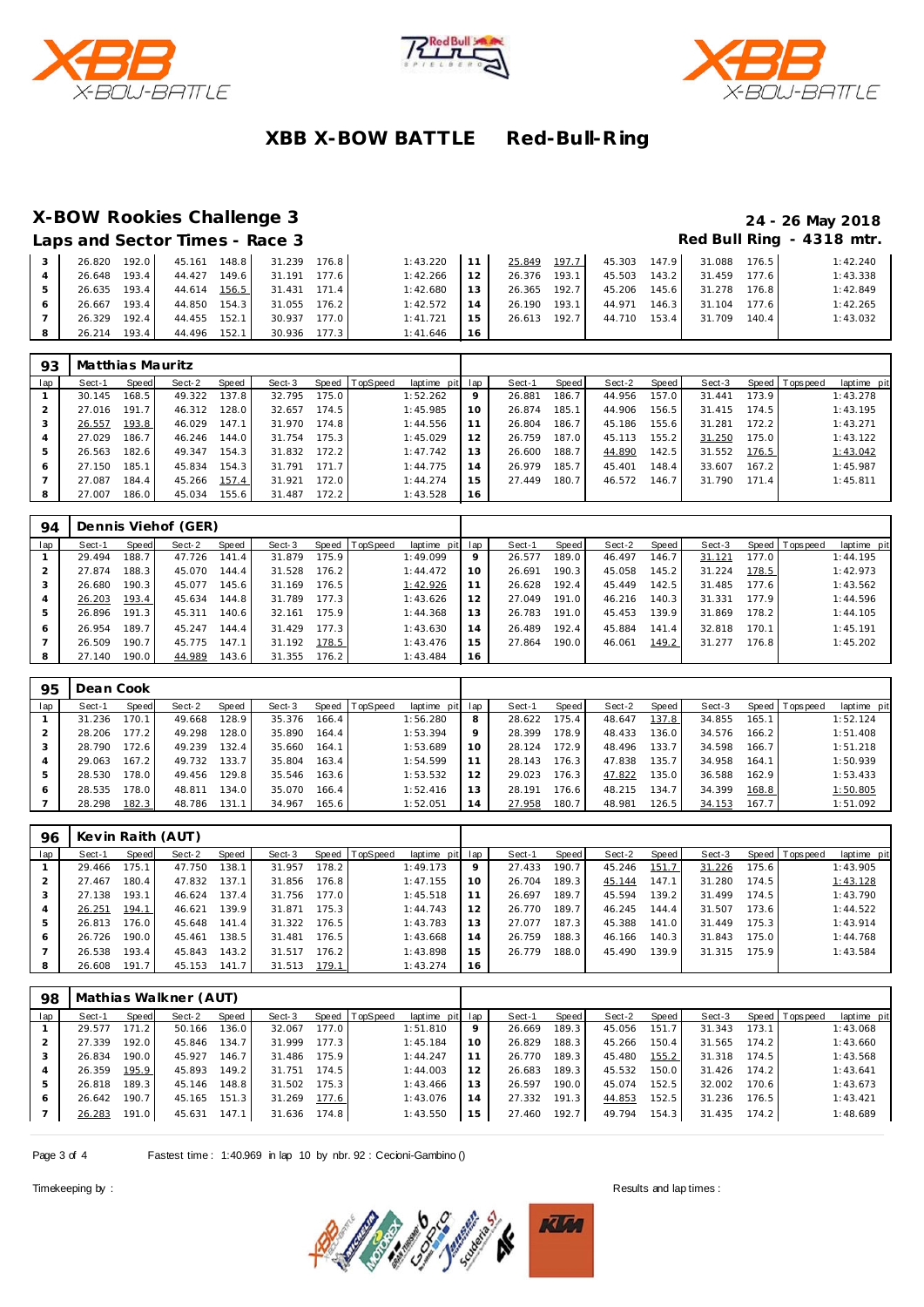





# **X-BOW Rookies Challenge 3 24 - 26 May 2018**

| Laps and Sector Times - Race 3 |       |        |       |              |       |          |        |        |       |        |         |              |       | Red Bull Ring - 4318 mtr. |
|--------------------------------|-------|--------|-------|--------------|-------|----------|--------|--------|-------|--------|---------|--------------|-------|---------------------------|
| 26.820 192.0                   |       | 45.161 | 148.8 | 31.239       | 176.8 | 1:43.220 | 11     | 25.849 | 197.7 | 45.303 | 147.9   | 31.088 176.5 |       | 1:42.240                  |
| 26.648 193.4                   |       | 44.427 | 149.6 | 31.191       | 177.6 | 1:42.266 | 12     | 26.376 | 193.1 | 45.503 | 143.2   | 31.459       | 177.6 | 1:43.338                  |
| 26.635 193.4                   |       | 44.614 | 156.5 | 31.431 171.4 |       | 1:42.680 | 13.    | 26.365 | 192.7 | 45.206 | 145.6   | 31.278       | 176.8 | 1:42.849                  |
| 26.667 193.4                   |       | 44.850 | 154.3 | 31.055       | 176.2 | 1:42.572 | 14     | 26.190 | 193.1 | 44.971 | $146.3$ | 31.104       | 177.6 | 1:42.265                  |
| 26.329                         | 192.4 | 44.455 | 152.1 | 30.937       | 177.0 | 1:41.721 | $15 -$ | 26.613 | 192.7 | 44.710 | 153.4   | 31.709       | 140.4 | 1:43.032                  |
| 26.214                         | 193.4 | 44.496 | 152.1 | 30.936 177.3 |       | 1:41.646 | 16     |        |       |        |         |              |       |                           |

| 93             | Matthias Mauritz |       |        |       |        |       |                |             |     |        |         |        |       |        |       |                |             |
|----------------|------------------|-------|--------|-------|--------|-------|----------------|-------------|-----|--------|---------|--------|-------|--------|-------|----------------|-------------|
| lap            | Sect-1           | Speed | Sect-2 | Speed | Sect-3 |       | Speed TopSpeed | laptime pit | lap | Sect-1 | Speed I | Sect-2 | Speed | Sect-3 |       | Speed Topspeed | laptime pit |
|                | 30.145           | 168.5 | 49.322 | 137.8 | 32.795 | 175.0 |                | 1:52.262    | 9   | 26.881 | 186.7   | 44.956 | 157.0 | 31.441 | 73.9  |                | 1:43.278    |
|                | 27.016           | 191.7 | 46.312 | 128.0 | 32.657 | 174.5 |                | 1:45.985    | 10  | 26.874 | 185.1   | 44.906 | 156.5 | 31.415 | 174.5 |                | 1:43.195    |
| 3              | 26.557           | 193.8 | 46.029 | 147.1 | 31.970 | 174.8 |                | 1:44.556    | 11  | 26.804 | 186.7   | 45.186 | 155.6 | 31.281 | 172.2 |                | 1:43.271    |
| $\overline{4}$ | 27.029           | 186.7 | 46.246 | 144.0 | 31.754 | 175.3 |                | 1:45.029    | 12  | 26.759 | 187.0   | 45.113 | 155.2 | 31.250 | 175.0 |                | 1:43.122    |
|                | 26.563           | 182.6 | 49.347 | 154.3 | 31.832 | 172.2 |                | 1:47.742    | 13  | 26.600 | 188.7   | 44.890 | 142.5 | 31.552 | 176.5 |                | 1:43.042    |
| 6              | 27.150           | 185.1 | 45.834 | 154.3 | 31.791 | 171.7 |                | 1:44.775    | 14  | 26.979 | 185.7   | 45.401 | 148.4 | 33.607 | 167.2 |                | 1:45.987    |
|                | 27.087           | 184.4 | 45.266 | 157.4 | 31.921 | 172.0 |                | 1:44.274    | 15  | 27.449 | 180.7   | 46.572 | 146.7 | 31.790 | 171.4 |                | 1:45.811    |
| 8              | 27.007           | 186.0 | 45.034 | 155.6 | 31.487 | 172.2 |                | 1:43.528    | 16  |        |         |        |       |        |       |                |             |

| 94  | Dennis Viehof (GER) |       |        |        |        |       |                |                 |    |        |         |        |       |        |       |                 |             |
|-----|---------------------|-------|--------|--------|--------|-------|----------------|-----------------|----|--------|---------|--------|-------|--------|-------|-----------------|-------------|
| lap | Sect-1              | Speed | Sect-2 | Speed  | Sect-3 |       | Speed TopSpeed | laptime pit lap |    | Sect-1 | Speed I | Sect-2 | Speed | Sect-3 |       | Speed Tops peed | laptime pit |
|     | 29.494              | 188.7 | 47.726 | 141.4  | 31.879 | 175.9 |                | 1:49.099        | 9  | 26.577 | 189.0   | 46.497 | 146.7 | 31.121 | 177.0 |                 | 1:44.195    |
|     | 27.874              | 188.3 | 45.070 | 144.4  | 31.528 | 176.2 |                | 1:44.472        | 10 | 26.691 | 190.3   | 45.058 | 145.2 | 31.224 | 178.5 |                 | 1:42.973    |
|     | 26.680              | 190.3 | 45.077 | 145.6  | 31.169 | 176.5 |                | 1:42.926        |    | 26.628 | 192.4   | 45.449 | 142.5 | 31.485 | 177.6 |                 | 1:43.562    |
| 4   | 26.203              | 193.4 | 45.634 | 144.8  | 31.789 | 177.3 |                | 1:43.626        | 12 | 27.049 | 191.0   | 46.216 | 140.3 | 31.331 | 177.9 |                 | 1:44.596    |
| 5   | 26.896              | 191.3 | 45.311 | 140.61 | 32.161 | 175.9 |                | 1:44.368        | 13 | 26.783 | 191.0   | 45.453 | 139.9 | 31.869 | 178.2 |                 | 1:44.105    |
| -6  | 26.954              | 189.7 | 45.247 | 144.4  | 31.429 | 177.3 |                | 1:43.630        | 14 | 26.489 | 192.4   | 45.884 | 141.4 | 32.818 | 170.1 |                 | 1:45.191    |
|     | 26.509              | 190.7 | 45.775 | 147.1  | 31.192 | 178.5 |                | 1:43.476        | 15 | 27.864 | 190.0   | 46.061 | 149.2 | 31.277 | 176.8 |                 | 1:45.202    |
| 8   | 27.140              | 190.0 | 44.989 | 143.6  | 31.355 | 176.2 |                | 1:43.484        | 16 |        |         |        |       |        |       |                 |             |

| 95  | Dean Cook |       |        |       |        |       |                |             |     |        |       |        |       |        |       |                 |             |
|-----|-----------|-------|--------|-------|--------|-------|----------------|-------------|-----|--------|-------|--------|-------|--------|-------|-----------------|-------------|
| lap | Sect-1    | Speed | Sect-2 | Speed | Sect-3 |       | Speed TopSpeed | laptime pit | lap | Sect-1 | Speed | Sect-2 | Speed | Sect-3 |       | Speed Tops peed | laptime pit |
|     | 31.236    | 170.7 | 49.668 | 128.9 | 35.376 | 166.4 |                | 1:56.280    | 8   | 28.622 | 75.4  | 48.647 | 137.8 | 34.855 | 165.1 |                 | 1:52.124    |
|     | 28.206    | 77.2  | 49.298 | 128.0 | 35.890 | 164.4 |                | 1:53.394    | 9   | 28.399 | 78.9  | 48.433 | 136.0 | 34.576 | 166.2 |                 | 1:51.408    |
| 3   | 28.790    | 72.6  | 49.239 | 132.4 | 35.660 | 164.1 |                | 1:53.689    | 10  | 28.124 | 172.9 | 48.496 | 133.7 | 34.598 | 166.7 |                 | 1:51.218    |
|     | 29.063    | 167.2 | 49.732 | 133.7 | 35.804 | 163.4 |                | 1:54.599    | 11  | 28.143 | 176.3 | 47.838 | 135.7 | 34.958 | 164.1 |                 | 1:50.939    |
| 5   | 28.530    | 78.0  | 49.456 | 129.8 | 35.546 | 163.6 |                | 1:53.532    | 12  | 29.023 | 176.3 | 47.822 | 135.0 | 36.588 | 162.9 |                 | 1:53.433    |
| 6   | 28.535    | 78.0  | 48.811 | 134.0 | 35.070 | 166.4 |                | 1:52.416    | 13  | 28.191 | 76.6  | 48.215 | 134.7 | 34.399 | 168.8 |                 | 1:50.805    |
|     | 28.298    | 182.3 | 48.786 | 131.1 | 34.967 | 165.6 |                | 1:52.051    | 14  | 27.958 | 180.7 | 48.981 | 126.5 | 34.153 | 167.7 |                 | 1:51.092    |

| 96  |        | Kevin Raith (AUT) |        |       |        |       |                  |                 |    |        |       |        |       |        |       |                 |             |
|-----|--------|-------------------|--------|-------|--------|-------|------------------|-----------------|----|--------|-------|--------|-------|--------|-------|-----------------|-------------|
| lap | Sect-1 | Speed             | Sect-2 | Speed | Sect-3 |       | Speed   TopSpeed | laptime pit lap |    | Sect-1 | Speed | Sect-2 | Speed | Sect-3 |       | Speed Tops peed | laptime pit |
|     | 29.466 | 175.1             | 47.750 | 138.1 | 31.957 | 178.2 |                  | 1:49.173        | 9  | 27.433 | 190.7 | 45.246 | 151.7 | 31.226 | 175.6 |                 | 1:43.905    |
|     | 27.467 | 180.4             | 47.832 | 137.1 | 31.856 | 176.8 |                  | 1:47.155        | 10 | 26.704 | 189.3 | 45.144 | 147.1 | 31.280 | 174.5 |                 | 1:43.128    |
|     | 27.138 | 193.1             | 46.624 | 137.4 | 31.756 | 177.0 |                  | 1:45.518        |    | 26.697 | 189.7 | 45.594 | 139.2 | 31.499 | 174.5 |                 | 1:43.790    |
|     | 26.251 | 194.1             | 46.621 | 139.9 | 31.871 | 175.3 |                  | 1:44.743        | 12 | 26.770 | 189.7 | 46.245 | 144.4 | 31.507 | 173.6 |                 | 1:44.522    |
| 5   | 26.813 | 176.0             | 45.648 | 141.4 | 31.322 | 176.5 |                  | 1:43.783        | 13 | 27.077 | 187.3 | 45.388 | 141.0 | 31.449 | 175.3 |                 | 1:43.914    |
| 6   | 26.726 | 190.0             | 45.461 | 138.5 | 31.481 | 176.5 |                  | 1:43.668        | 14 | 26.759 | 188.3 | 46.166 | 140.3 | 31.843 | 175.0 |                 | 1:44.768    |
|     | 26.538 | 193.4             | 45.843 | 143.2 | 31.517 | 176.2 |                  | 1:43.898        | 15 | 26.779 | 188.0 | 45.490 | 139.9 | 31.315 | 175.9 |                 | 1:43.584    |
| 8   | 26.608 | 191.7             | 45.153 | 141.7 | 31.513 | 179.1 |                  | 1:43.274        | 16 |        |       |        |       |        |       |                 |             |

| 98  | Mathias Walkner (AUT) |       |        |        |        |       |                 |                 |    |        |       |        |       |        |       |                |             |
|-----|-----------------------|-------|--------|--------|--------|-------|-----------------|-----------------|----|--------|-------|--------|-------|--------|-------|----------------|-------------|
| lap | Sect-1                | Speed | Sect-2 | Speed  | Sect-3 | Speed | <b>TopSpeed</b> | laptime pit lap |    | Sect-1 | Speed | Sect-2 | Speed | Sect-3 |       | Speed Topspeed | laptime pit |
|     | 29.577                | 171.2 | 50.166 | 136.0  | 32.067 | 177.0 |                 | 1:51.810        | 9  | 26.669 | 189.3 | 45.056 | 151.7 | 31.343 | 173.1 |                | 1:43.068    |
|     | 27.339                | 192.0 | 45.846 | 134.7  | 31.999 | 177.3 |                 | 1:45.184        | 10 | 26.829 | 188.3 | 45.266 | 150.4 | 31.565 | 174.2 |                | 1:43.660    |
|     | 26.834                | 190.0 | 45.927 | 146.7  | 31.486 | 175.9 |                 | 1:44.247        | 11 | 26.770 | 189.3 | 45.480 | 155.2 | 31.318 | 174.5 |                | 1:43.568    |
|     | 26.359                | 195.9 | 45.893 | 149.21 | 31.751 | 174.5 |                 | 1:44.003        | 12 | 26.683 | 189.3 | 45.532 | 150.0 | 31.426 | 174.2 |                | 1:43.641    |
| 5   | 26.818                | 189.3 | 45.146 | 148.8  | 31.502 | 175.3 |                 | 1:43.466        | 13 | 26.597 | 190.0 | 45.074 | 152.5 | 32.002 | 170.6 |                | 1:43.673    |
| 6   | 26.642                | 190.7 | 45.165 | 151.3  | 31.269 | 177.6 |                 | 1:43.076        | 14 | 27.332 | 191.3 | 44.853 | 152.5 | 31.236 | 176.5 |                | 1:43.421    |
|     | 26.283                | 191.0 | 45.631 | 147.1  | 31.636 | 174.8 |                 | 1:43.550        | 15 | 27.460 | 192.7 | 49.794 | 154.3 | 31.435 | 174.2 |                | 1:48.689    |

Page 3 of 4 Fastest time: 1:40.969 in lap 10 by nbr. 92 : Cecioni-Gambino ()